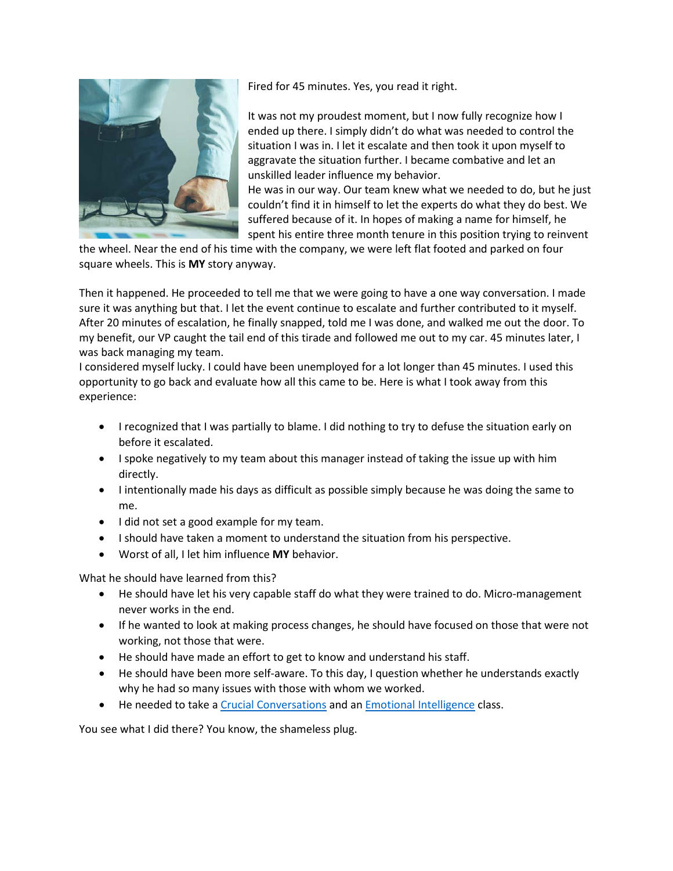

Fired for 45 minutes. Yes, you read it right.

It was not my proudest moment, but I now fully recognize how I ended up there. I simply didn't do what was needed to control the situation I was in. I let it escalate and then took it upon myself to aggravate the situation further. I became combative and let an unskilled leader influence my behavior.

He was in our way. Our team knew what we needed to do, but he just couldn't find it in himself to let the experts do what they do best. We suffered because of it. In hopes of making a name for himself, he spent his entire three month tenure in this position trying to reinvent

the wheel. Near the end of his time with the company, we were left flat footed and parked on four square wheels. This is **MY** story anyway.

Then it happened. He proceeded to tell me that we were going to have a one way conversation. I made sure it was anything but that. I let the event continue to escalate and further contributed to it myself. After 20 minutes of escalation, he finally snapped, told me I was done, and walked me out the door. To my benefit, our VP caught the tail end of this tirade and followed me out to my car. 45 minutes later, I was back managing my team.

I considered myself lucky. I could have been unemployed for a lot longer than 45 minutes. I used this opportunity to go back and evaluate how all this came to be. Here is what I took away from this experience:

- I recognized that I was partially to blame. I did nothing to try to defuse the situation early on before it escalated.
- I spoke negatively to my team about this manager instead of taking the issue up with him directly.
- I intentionally made his days as difficult as possible simply because he was doing the same to me.
- I did not set a good example for my team.
- I should have taken a moment to understand the situation from his perspective.
- Worst of all, I let him influence **MY** behavior.

What he should have learned from this?

- He should have let his very capable staff do what they were trained to do. Micro-management never works in the end.
- If he wanted to look at making process changes, he should have focused on those that were not working, not those that were.
- He should have made an effort to get to know and understand his staff.
- He should have been more self-aware. To this day, I question whether he understands exactly why he had so many issues with those with whom we worked.
- He needed to take [a Crucial Conversations](https://www.healthstream.com/hlc/common/course/quicklinks.aspx?oid=3603a155-21af-e011-b8a9-001517135213&quickLink=YT0xJnRzPTIwMjEtMDEtMTVUMTY6MjY6MTkmY2lkPWQ5MDQ2NjYzLTliNTYtZWIxMS04MGRkLTAwNTA1NmIxMjAyZSZjdj0w) and a[n Emotional Intelligence](https://www.healthstream.com/hlc/common/course/quicklinks.aspx?oid=3603a155-21af-e011-b8a9-001517135213&quickLink=YT0xJnRzPTIwMjEtMDEtMTFUMjE6MDI6NDAmY2lkPTk1NWZkNGNjLTFhNTItZWIxMS04MGRlLTAwNTA1NmIxMDQ4NCZjdj0w) class.

You see what I did there? You know, the shameless plug.